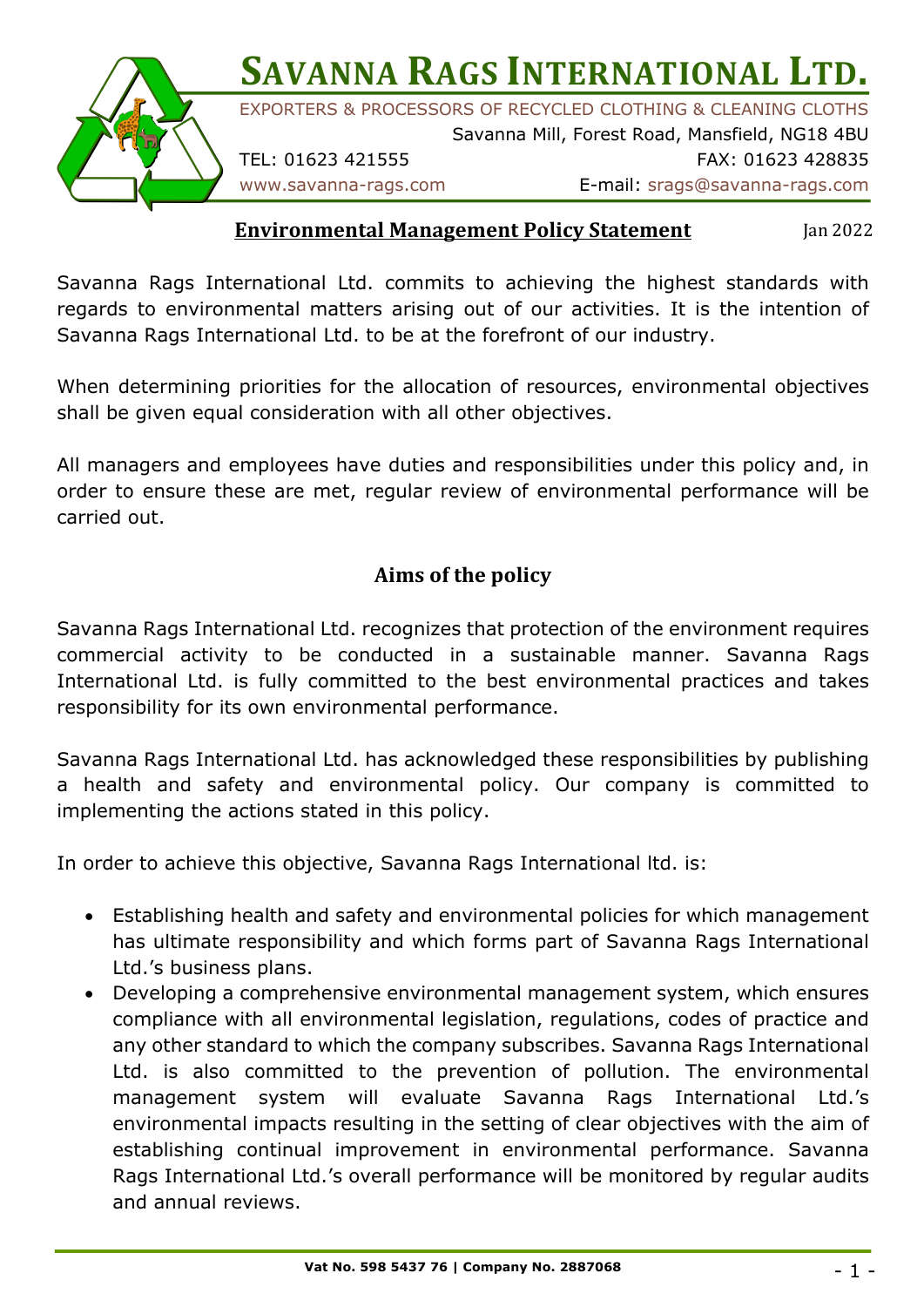

**SAVANNA RAGS INTERNATIONAL LTD.** 

EXPORTERS & PROCESSORS OF RECYCLED CLOTHING & CLEANING CLOTHS

Savanna Mill, Forest Road, Mansfield, NG18 4BU TEL: 01623 421555 FAX: 01623 428835

#### **Environmental Management Policy Statement**

Jan 2022

Savanna Rags International Ltd. commits to achieving the highest standards with regards to environmental matters arising out of our activities. It is the intention of Savanna Rags International Ltd. to be at the forefront of our industry.

When determining priorities for the allocation of resources, environmental objectives shall be given equal consideration with all other objectives.

All managers and employees have duties and responsibilities under this policy and, in order to ensure these are met, regular review of environmental performance will be carried out.

# Aims of the policy

Savanna Rags International Ltd. recognizes that protection of the environment requires commercial activity to be conducted in a sustainable manner. Savanna Rags International Ltd. is fully committed to the best environmental practices and takes responsibility for its own environmental performance.

Savanna Rags International Ltd. has acknowledged these responsibilities by publishing a health and safety and environmental policy. Our company is committed to implementing the actions stated in this policy.

In order to achieve this objective, Savanna Rags International ltd. is:

- Establishing health and safety and environmental policies for which management has ultimate responsibility and which forms part of Savanna Rags International Ltd.'s business plans.
- Developing a comprehensive environmental management system, which ensures compliance with all environmental legislation, regulations, codes of practice and any other standard to which the company subscribes. Savanna Rags International Ltd. is also committed to the prevention of pollution. The environmental management system will evaluate Savanna Rags International Ltd.'s environmental impacts resulting in the setting of clear objectives with the aim of establishing continual improvement in environmental performance. Savanna Rags International Ltd.'s overall performance will be monitored by regular audits and annual reviews.